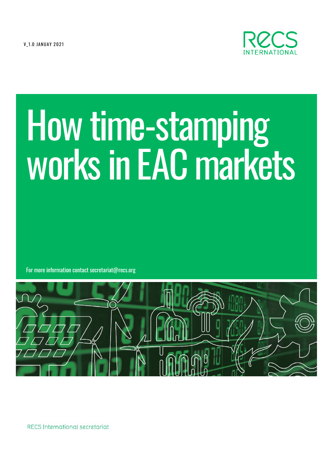**V 1.0 JANUAY 2021** 



# How time-stamping<br>works in EAC markets

For more information contact secretariat@recs.org



RECS International secretariat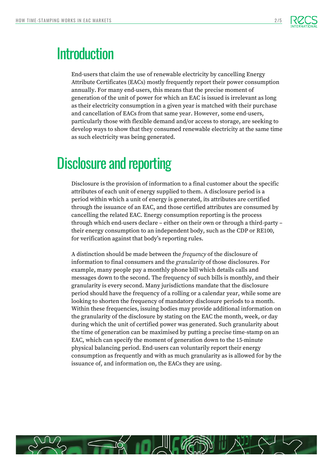

### **Introduction**

End-users that claim the use of renewable electricity by cancelling Energy Attribute Certificates (EACs) mostly frequently report their power consumption annually. For many end-users, this means that the precise moment of generation of the unit of power for which an EAC is issued is irrelevant as long as their electricity consumption in a given year is matched with their purchase and cancellation of EACs from that same year. However, some end-users, particularly those with flexible demand and/or access to storage, are seeking to develop ways to show that they consumed renewable electricity at the same time as such electricity was being generated.

# Disclosure and reporting

Disclosure is the provision of information to a final customer about the specific attributes of each unit of energy supplied to them. A disclosure period is a period within which a unit of energy is generated, its attributes are certified through the issuance of an EAC, and those certified attributes are consumed by cancelling the related EAC. Energy consumption reporting is the process through which end-users declare – either on their own or through a third-party – their energy consumption to an independent body, such as the CDP or RE100, for verification against that body's reporting rules.

A distinction should be made between the *frequency* of the disclosure of information to final consumers and the *granularity* of those disclosures. For example, many people pay a monthly phone bill which details calls and messages down to the second. The frequency of such bills is monthly, and their granularity is every second. Many jurisdictions mandate that the disclosure period should have the frequency of a rolling or a calendar year, while some are looking to shorten the frequency of mandatory disclosure periods to a month. Within these frequencies, issuing bodies may provide additional information on the granularity of the disclosure by stating on the EAC the month, week, or day during which the unit of certified power was generated. Such granularity about the time of generation can be maximised by putting a precise time-stamp on an EAC, which can specify the moment of generation down to the 15-minute physical balancing period. End-users can voluntarily report their energy consumption as frequently and with as much granularity as is allowed for by the issuance of, and information on, the EACs they are using.

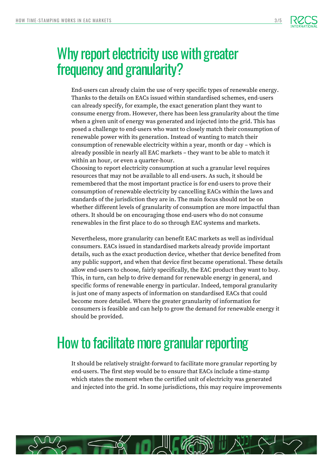

### Why report electricity use with greater frequency and granularity?

End-users can already claim the use of very specific types of renewable energy. Thanks to the details on EACs issued within standardised schemes, end-users can already specify, for example, the exact generation plant they want to consume energy from. However, there has been less granularity about the time when a given unit of energy was generated and injected into the grid. This has posed a challenge to end-users who want to closely match their consumption of renewable power with its generation. Instead of wanting to match their consumption of renewable electricity within a year, month or day – which is already possible in nearly all EAC markets – they want to be able to match it within an hour, or even a quarter-hour.

Choosing to report electricity consumption at such a granular level requires resources that may not be available to all end-users. As such, it should be remembered that the most important practice is for end-users to prove their consumption of renewable electricity by cancelling EACs within the laws and standards of the jurisdiction they are in. The main focus should not be on whether different levels of granularity of consumption are more impactful than others. It should be on encouraging those end-users who do not consume renewables in the first place to do so through EAC systems and markets.

Nevertheless, more granularity can benefit EAC markets as well as individual consumers. EACs issued in standardised markets already provide important details, such as the exact production device, whether that device benefited from any public support, and when that device first became operational. These details allow end-users to choose, fairly specifically, the EAC product they want to buy. This, in turn, can help to drive demand for renewable energy in general, and specific forms of renewable energy in particular. Indeed, temporal granularity is just one of many aspects of information on standardised EACs that could become more detailed. Where the greater granularity of information for consumers is feasible and can help to grow the demand for renewable energy it should be provided.

# How to facilitate more granular reporting

It should be relatively straight-forward to facilitate more granular reporting by end-users. The first step would be to ensure that EACs include a time-stamp which states the moment when the certified unit of electricity was generated and injected into the grid. In some jurisdictions, this may require improvements

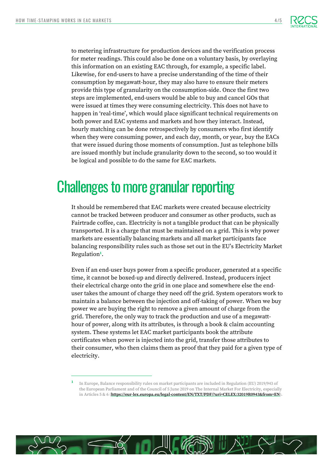

to metering infrastructure for production devices and the verification process for meter readings. This could also be done on a voluntary basis, by overlaying this information on an existing EAC through, for example, a specific label. Likewise, for end-users to have a precise understanding of the time of their consumption by megawatt-hour, they may also have to ensure their meters provide this type of granularity on the consumption-side. Once the first two steps are implemented, end-users would be able to buy and cancel GOs that were issued at times they were consuming electricity. This does not have to happen in 'real-time', which would place significant technical requirements on both power and EAC systems and markets and how they interact. Instead, hourly matching can be done retrospectively by consumers who first identify when they were consuming power, and each day, month, or year, buy the EACs that were issued during those moments of consumption. Just as telephone bills are issued monthly but include granularity down to the second, so too would it be logical and possible to do the same for EAC markets.

## Challenges to more granular reporting

It should be remembered that EAC markets were created because electricity cannot be tracked between producer and consumer as other products, such as Fairtrade coffee, can. Electricity is not a tangible product that can be physically transported. It is a charge that must be maintained on a grid. This is why power markets are essentially balancing markets and all market participants face balancing responsibility rules such as those set out in the EU's Electricity Market Regulation**<sup>1</sup>** .

Even if an end-user buys power from a specific producer, generated at a specific time, it cannot be boxed-up and directly delivered. Instead, producers inject their electrical charge onto the grid in one place and somewhere else the enduser takes the amount of charge they need off the grid. System operators work to maintain a balance between the injection and off-taking of power. When we buy power we are buying the right to remove a given amount of charge from the grid. Therefore, the only way to track the production and use of a megawatthour of power, along with its attributes, is through a book & claim accounting system. These systems let EAC market participants book the attribute certificates when power is injected into the grid, transfer those attributes to their consumer, who then claims them as proof that they paid for a given type of electricity.



**<sup>1</sup>** In Europe, Balance responsibility rules on market participants are included in Regulation (EU) 2019/943 of the European Parliament and of the Council of 5 June 2019 on The Internal Market For Electricity, especially in Articles 5 & 6 (**<https://eur-lex.europa.eu/legal-content/EN/TXT/PDF/?uri=CELEX:32019R0943&from=EN>**).